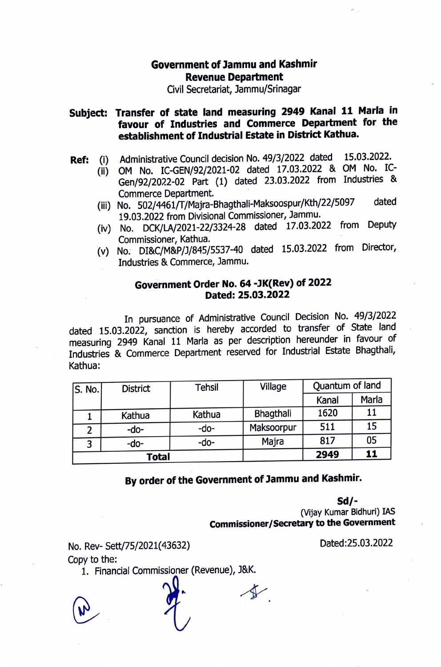## **Government of lammu and Kashmir Revenue Department**

Civil Secretariat, Jammu/Srinagar

## **Subject: Transfer of state land measuring 2949 Kanai 11 Marla in favour of Industries and Commerce Department for the establishment of Industrial Estate in District Kathua.**

- **Ref:** (i) Administrative Council decision No. 49/3/2022 dated 15.03.2022.
	- (ii) OM No. IC-GEN/92/2021-02 dated 17.03.2022 & OM No. IC-Gen/92/2022-02 Part (1) dated 23.03.2022 from Industries & Commerce Department.
	- (iii) No. 502/4461/f /Majra-Bhagthali-Maksoospur/Kth/22/5097 dated 19.03.2022 from Divisional Commissioner, Jammu.
	- (iv) No. DCK/LA/2021-22/3324-28 dated 17.03.2022 from Deputy Commissioner, Kathua.
	- (v) No: DI&C/M&P/J/845/5537-40 dated 15.03.2022 from Director, Industries & Commerce, Jammu.

## **Government Order No. 64 -JK(Rev) of 2022 Dated: 25.03.2022**

In pursuance of Administrative Council Decision No. 49/3/2022 dated 15.03.2022, sanction is hereby accorded to transfer of State land measuring 2949 Kanai 11 Marla as per description hereunder in favour of Industries & Commerce Department reserved for Industrial Estate Bhagthali, Kathua:

| S. No. | <b>District</b> | <b>Tehsil</b> | Village    | Quantum of land |       |
|--------|-----------------|---------------|------------|-----------------|-------|
|        |                 |               |            | Kanal           | Marla |
|        | Kathua          | Kathua        | Bhagthali  | 1620            | 11    |
| 2      | $-do-$          | -do-          | Maksoorpur | 511             | 15    |
| 3      | -do-            | -do-          | Majra      | 817             | 05    |
| Total  |                 |               |            | 2949            | 11    |

**By order of the Government of Jammu and Kashmir.** 

**Sd/-** (Vijay Kumar Bidhuri) IAS **Commissioner/Secretary to the Government** 

No. Rev- Sett/75/2021(43632)

Copy to the:

1. Financial Commissioner (Revenue), J&K.

Dated:25.03.2022